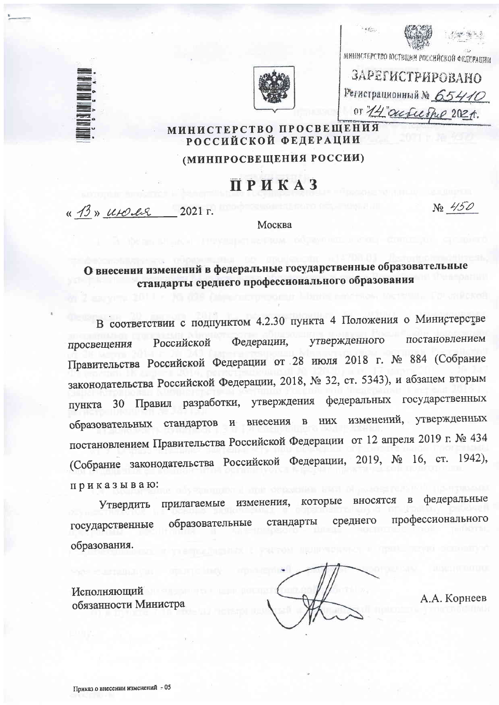





министерство юстиции воссийской федерации

ЗАРЕГИСТРИРОВАНО Регистрационный № 65410 or 14 outcerne 2021.

#### МИНИСТЕРСТВО ПРОСВЕЩЕНИЯ РОССИЙСКОЙ ФЕДЕРАЦИИ

#### (МИНПРОСВЕЩЕНИЯ РОССИИ)

# ПРИКАЗ

« B» utoles 2021 г.

No 450

Москва

## О внесении изменений в федеральные государственные образовательные стандарты среднего профессионального образования

В соответствии с подпунктом 4.2.30 пункта 4 Положения о Министерстве постановлением утвержденного Федерации, Российской просвещения Правительства Российской Федерации от 28 июля 2018 г. № 884 (Собрание законодательства Российской Федерации, 2018, № 32, ст. 5343), и абзацем вторым пункта 30 Правил разработки, утверждения федеральных государственных изменений, утвержденных образовательных стандартов и внесения  $\mathbf{B}$ **HMX** постановлением Правительства Российской Федерации от 12 апреля 2019 г. № 434 (Собрание законодательства Российской Федерации, 2019, № 16, ст. 1942), приказываю:

федеральные изменения, которые вносятся  $\overline{B}$ прилагаемые Утвердить профессионального среднего стандарты образовательные государственные образования.

Исполняющий обязанности Министра

А.А. Корнеев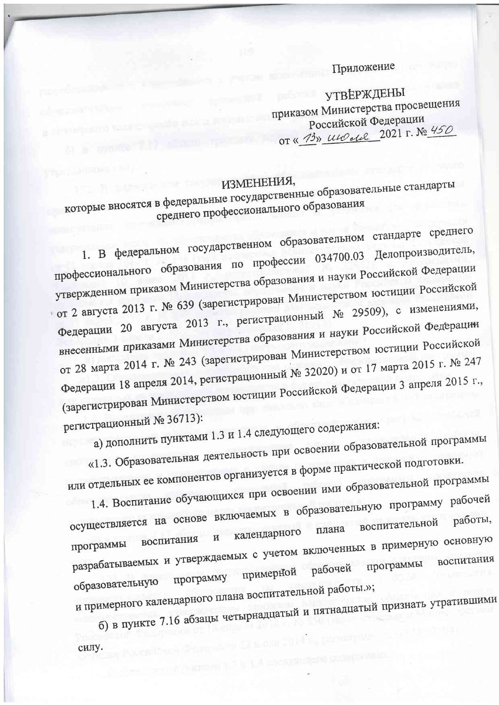### Приложение

**УТВЕРЖДЕНЫ** приказом Министерства просвещения Российской Федерации OT « 13» ULO del 2021 г. № 450

# ИЗМЕНЕНИЯ,

которые вносятся в федеральные государственные образовательные стандарты среднего профессионального образования

1. В федеральном государственном образовательном стандарте среднего профессионального образования по профессии 034700.03 Делопроизводитель, утвержденном приказом Министерства образования и науки Российской Федерации • от 2 августа 2013 г. № 639 (зарегистрирован Министерством юстиции Российской Федерации 20 августа 2013 г., регистрационный № 29509), с изменениями, внесенными приказами Министерства образования и науки Российской Федерации от 28 марта 2014 г. № 243 (зарегистрирован Министерством юстиции Российской Федерации 18 апреля 2014, регистрационный № 32020) и от 17 марта 2015 г. № 247 (зарегистрирован Министерством юстиции Российской Федерации 3 апреля 2015 г., регистрационный № 36713):

а) дополнить пунктами 1.3 и 1.4 следующего содержания:

«1.3. Образовательная деятельность при освоении образовательной программы или отдельных ее компонентов организуется в форме практической подготовки. 1.4. Воспитание обучающихся при освоении ими образовательной программы

осуществляется на основе включаемых в образовательную программу рабочей работы, плана календарного разрабатываемых и утверждаемых с учетом включенных в примерную основную воспитания рабочей программу примерной образовательную и примерного календарного плана воспитательной работы.»;

б) в пункте 7.16 абзацы четырнадцатый и пятнадцатый признать утратившими силу.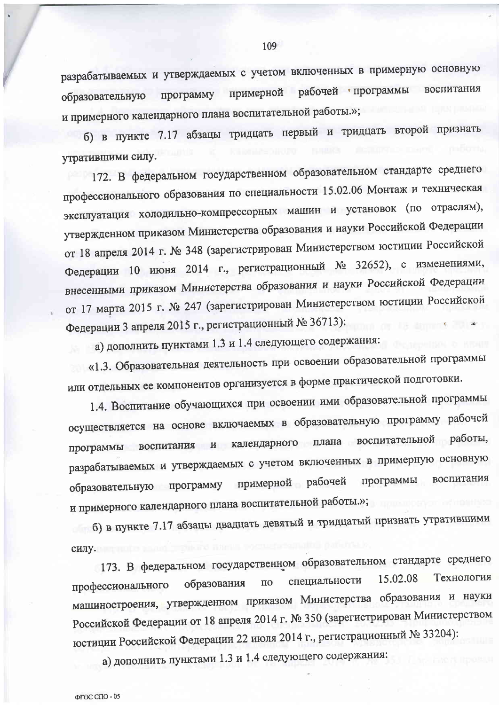разрабатываемых и утверждаемых с учетом включенных в примерную основную программу примерной рабочей программы воспитания образовательную и примерного календарного плана воспитательной работы.»;

б) в пункте 7.17 абзацы тридцать первый и тридцать второй признать утратившими силу.

172. В федеральном государственном образовательном стандарте среднего профессионального образования по специальности 15.02.06 Монтаж и техническая эксплуатация холодильно-компрессорных машин и установок (по отраслям), утвержденном приказом Министерства образования и науки Российской Федерации от 18 апреля 2014 г. № 348 (зарегистрирован Министерством юстиции Российской Федерации 10 июня 2014 г., регистрационный № 32652), с изменениями, внесенными приказом Министерства образования и науки Российской Федерации от 17 марта 2015 г. № 247 (зарегистрирован Министерством юстиции Российской Федерации 3 апреля 2015 г., регистрационный № 36713):

а) дополнить пунктами 1.3 и 1.4 следующего содержания:

«1.3. Образовательная деятельность при освоении образовательной программы или отдельных ее компонентов организуется в форме практической подготовки.

1.4. Воспитание обучающихся при освоении ими образовательной программы осуществляется на основе включаемых в образовательную программу рабочей программы воспитания и календарного плана воспитательной работы, разрабатываемых и утверждаемых с учетом включенных в примерную основную образовательную программу примерной рабочей программы воспитания и примерного календарного плана воспитательной работы.»;

б) в пункте 7.17 абзацы двадцать девятый и тридцатый признать утратившими силу.

173. В федеральном государственном образовательном стандарте среднего Технология 15.02.08 специальности образования  $\overline{110}$ профессионального машиностроения, утвержденном приказом Министерства образования и науки Российской Федерации от 18 апреля 2014 г. № 350 (зарегистрирован Министерством юстиции Российской Федерации 22 июля 2014 г., регистрационный № 33204):

а) дополнить пунктами 1.3 и 1.4 следующего содержания: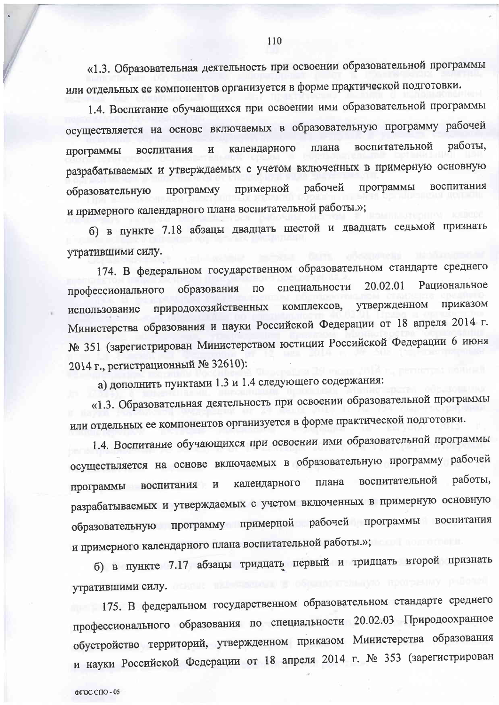«1.3. Образовательная деятельность при освоении образовательной программы или отдельных ее компонентов организуется в форме практической подготовки.

1.4. Воспитание обучающихся при освоении ими образовательной программы осуществляется на основе включаемых в образовательную программу рабочей работы. воспитательной календарного плана воспитания  $\overline{\mathbf{M}}$ программы разрабатываемых и утверждаемых с учетом включенных в примерную основную программы рабочей воспитания примерной программу образовательную и примерного календарного плана воспитательной работы.»;

б) в пункте 7.18 абзацы двадцать шестой и двадцать седьмой признать утратившими силу.

174. В федеральном государственном образовательном стандарте среднего специальности 20.02.01 Рациональное профессионального образования  $\overline{10}$ приказом комплексов, утвержденном природохозяйственных использование Министерства образования и науки Российской Федерации от 18 апреля 2014 г. № 351 (зарегистрирован Министерством юстиции Российской Федерации 6 июня 2014 г., регистрационный № 32610):

а) дополнить пунктами 1.3 и 1.4 следующего содержания:

«1.3. Образовательная деятельность при освоении образовательной программы или отдельных ее компонентов организуется в форме практической подготовки.

1.4. Воспитание обучающихся при освоении ими образовательной программы осуществляется на основе включаемых в образовательную программу рабочей программы воспитания и календарного плана воспитательной работы, разрабатываемых и утверждаемых с учетом включенных в примерную основную образовательную программу примерной рабочей программы воспитания и примерного календарного плана воспитательной работы.»;

б) в пункте 7.17 абзацы тридцать первый и тридцать второй признать утратившими силу.

175. В федеральном государственном образовательном стандарте среднего профессионального образования по специальности 20.02.03 Природоохранное обустройство территорий, утвержденном приказом Министерства образования и науки Российской Федерации от 18 апреля 2014 г. № 353 (зарегистрирован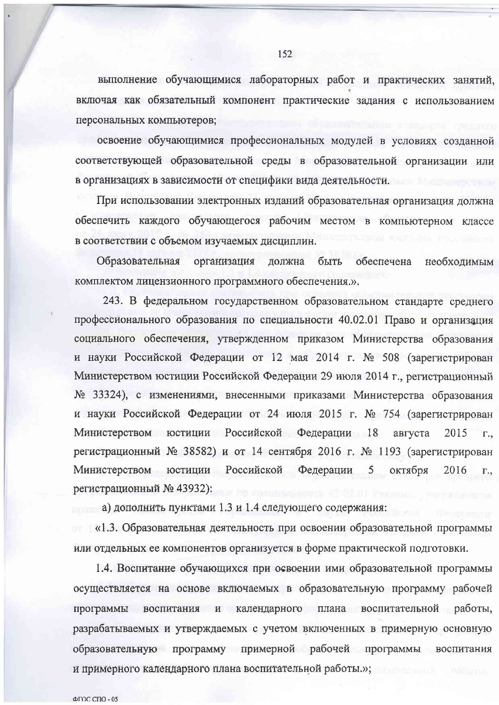выполнение обучающимися лабораторных работ и практических занятий, включая как обязательный компонент практические задания с использованием персональных компьютеров;

освоение обучающимися профессиональных модулей в условиях созданной соответствующей образовательной среды в образовательной организации или в организациях в зависимости от специфики вида деятельности.

При использовании электронных изданий образовательная организация должна обеспечить каждого обучающегося рабочим местом в компьютерном классе в соответствии с объемом изучаемых дисциплин.

Образовательная организация должна быть обеспечена необходимым комплектом лицензионного программного обеспечения.».

243. В федеральном государственном образовательном стандарте среднего профессионального образования по специальности 40.02.01 Право и организация социального обеспечения, утвержденном приказом Министерства образования и науки Российской Федерации от 12 мая 2014 г. № 508 (зарегистрирован Министерством юстиции Российской Федерации 29 июля 2014 г., регистрационный № 33324), с изменениями, внесенными приказами Министерства образования и науки Российской Федерации от 24 июля 2015 г. № 754 (зарегистрирован Министерством юстиции Российской Федерации 18 августа 2015  $\Gamma_{\cdot}$ регистрационный № 38582) и от 14 сентября 2016 г. № 1193 (зарегистрирован Министерством юстиции Российской Федерации 5 октября 2016  $\Gamma_{\cdot}$ регистрационный № 43932):

а) дополнить пунктами 1.3 и 1.4 следующего содержания:

«1.3. Образовательная деятельность при освоении образовательной программы или отдельных ее компонентов организуется в форме практической подготовки.

1.4. Воспитание обучающихся при освоении ими образовательной программы осуществляется на основе включаемых в образовательную программу рабочей программы воспитания и календарного плана воспитательной работы, разрабатываемых и утверждаемых с учетом включенных в примерную основную образовательную программу примерной рабочей программы воспитания и примерного календарного плана воспитательной работы.»;